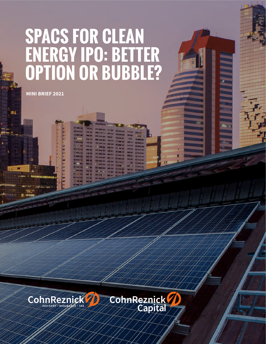# **SPACS FOR CLEAN ENERGY IPO: BETTER OPTION OR BUBBLE?**

**MINI BRIEF 2021**

Ná

anu

'HK!!

**MANUFACTURE** 

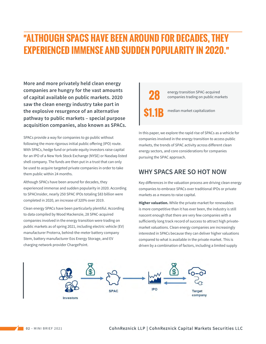## "**ALTHOUGH SPACS HAVE BEEN AROUND FOR DECADES, THEY EXPERIENCED IMMENSE AND SUDDEN POPULARITY IN 2020.**"

**More and more privately held clean energy companies are hungry for the vast amounts of capital available on public markets. 2020 saw the clean energy industry take part in the explosive resurgence of an alternative pathway to public markets – special purpose acquisition companies, also known as SPACs.**

SPACs provide a way for companies to go public without following the more rigorous initial public offering (IPO) route. With SPACs, hedge fund or private equity investors raise capital for an IPO of a New York Stock Exchange (NYSE) or Nasdaq-listed shell company. The funds are then put in a trust that can only be used to acquire targeted private companies in order to take them public within 24 months.

Although SPACs have been around for decades, they experienced immense and sudden popularity in 2020. According to SPACInsider, nearly 250 SPAC IPOs totaling \$83 billion were completed in 2020, an increase of 320% over 2019.

Clean energy SPACs have been particularly plentiful. According to data compiled by Wood Mackenzie, 28 SPAC-acquired companies involved in the energy transition were trading on public markets as of spring 2021, including electric vehicle (EV) manufacturer Proterra, behind-the-meter battery company Stem, battery manufacturer Eos Energy Storage, and EV charging network provider ChargePoint.

### **28 \$1.1**B energy transition SPAC-acquired companies trading on public markets

median market capitalization

In this paper, we explore the rapid rise of SPACs as a vehicle for companies involved in the energy transition to access public markets, the trends of SPAC activity across different clean energy sectors, and core considerations for companies pursuing the SPAC approach.

### **WHY SPACS ARE SO HOT NOW**

Key differences in the valuation process are driving clean energy companies to embrace SPACs over traditional IPOs or private markets as a means to raise capital.

**Higher valuation.** While the private market for renewables is more competitive than it has ever been, the industry is still nascent enough that there are very few companies with a sufficiently long track record of success to attract high privatemarket valuations. Clean energy companies are increasingly interested in SPACs because they can deliver higher valuations compared to what is available in the private market. This is driven by a combination of factors, including a limited supply

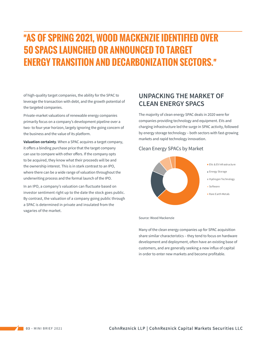# "**AS OF SPRING 2021, WOOD MACKENZIE IDENTIFIED OVER 50 SPACS LAUNCHED OR ANNOUNCED TO TARGET ENERGY TRANSITION AND DECARBONIZATION SECTORS.**"

of high-quality target companies, the ability for the SPAC to leverage the transaction with debt, and the growth potential of the targeted companies.

Private-market valuations of renewable energy companies primarily focus on a company's development pipeline over a two- to four-year horizon, largely ignoring the going concern of the business and the value of its platform.

**Valuation certainty**. When a SPAC acquires a target company, it offers a binding purchase price that the target company can use to compare with other offers. If the company opts to be acquired, they know what their proceeds will be and the ownership interest. This is in stark contrast to an IPO, where there can be a wide range of valuation throughout the underwriting process and the formal launch of the IPO.

In an IPO, a company's valuation can fluctuate based on investor sentiment right up to the date the stock goes public. By contrast, the valuation of a company going public through a SPAC is determined in private and insulated from the vagaries of the market.

### **UNPACKING THE MARKET OF CLEAN ENERGY SPACS**

The majority of clean energy SPAC deals in 2020 were for companies providing technology and equipment. EVs and charging infrastructure led the surge in SPAC activity, followed by energy storage technology – both sectors with fast-growing markets and rapid technology innovation.

#### Clean Energy SPACs by Market



Source: Wood Mackenzie

Many of the clean energy companies up for SPAC acquisition share similar characteristics – they tend to focus on hardware development and deployment, often have an existing base of customers, and are generally seeking a new influx of capital in order to enter new markets and become profitable.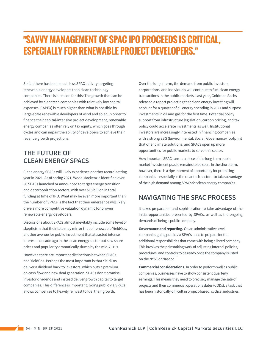### "**SAVVY MANAGEMENT OF SPAC IPO PROCEEDS IS CRITICAL, ESPECIALLY FOR RENEWABLE PROJECT DEVELOPERS.**"

So far, there has been much less SPAC activity targeting renewable energy developers than clean technology companies. There is a reason for this: The growth that can be achieved by cleantech companies with relatively low capital expenses (CAPEX) is much higher than what is possible by large-scale renewable developers of wind and solar. In order to finance their capital-intensive project development, renewable energy companies often rely on tax equity, which goes through cycles and can impair the ability of developers to achieve their revenue growth projections.

### **THE FUTURE OF CLEAN ENERGY SPACS**

Clean energy SPACs will likely experience another record-setting year in 2021. As of spring 2021, Wood Mackenzie identified over 50 SPACs launched or announced to target energy transition and decarbonization sectors, with over \$15 billion in total funding at time of IPO. What may be even more important than the number of SPACs is the fact that their emergence will likely drive a more competitive valuation dynamic for proven renewable energy developers.

Discussions about SPACs almost inevitably include some level of skepticism that their fate may mirror that of renewable YieldCos, another avenue for public investment that attracted intense interest a decade ago in the clean energy sector but saw share prices and popularity dramatically slump by the mid-2010s.

However, there are important distinctions between SPACs and YieldCos. Perhaps the most important is that YieldCos deliver a dividend back to investors, which puts a premium on cash flow and new deal generation. SPACs don't promise investor dividends and instead deliver growth capital to target companies. This difference is important: Going public via SPACs allows companies to heavily reinvest to fuel their growth.

Over the longer term, the demand from public investors, corporations, and individuals will continue to fuel clean energy transactions in the public markets. Last year, Goldman Sachs released a report projecting that clean energy investing will account for a quarter of all energy spending in 2021 and surpass investments in oil and gas for the first time. Potential policy support from infrastructure legislation, carbon pricing, and tax policy could accelerate investments as well. Institutional investors are increasingly interested in financing companies with a strong ESG (Environmental, Social, Governance) footprint that offer climate solutions, and SPACs open up more opportunities for public markets to serve this sector.

How important SPACs are as a piece of the long-term public market investment puzzle remains to be seen. In the short term, however, there is a ripe moment of opportunity for promising companies – especially in the cleantech sector – to take advantage of the high demand among SPACs for clean energy companies.

### **NAVIGATING THE SPAC PROCESS**

It takes preparation and sophistication to take advantage of the initial opportunities presented by SPACs, as well as the ongoing demands of being a public company.

**Governance and reporting.** On an administrative level, companies going public via SPACs need to prepare for the additional responsibilities that come with being a listed company. This involves the painstaking work of [adjusting internal](https://www.cohnreznick.com/insights/considerations-for-spac-acquisition-target-companies) policies, [procedures, and controls](https://www.cohnreznick.com/insights/considerations-for-spac-acquisition-target-companies) to be ready once the company is listed on the NYSE or Nasdaq.

**Commercial considerations.** In order to perform well as public companies, businesses have to show consistent quarterly earnings. This means they need to precisely manage the sale of projects and their commercial operations dates (CODs), a task that has been historically difficult in project-based, cyclical industries.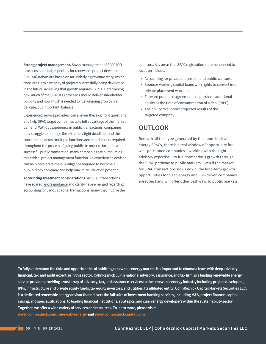**Strong project management.** Savvy management of SPAC IPO proceeds is critical, especially for renewable project developers. SPAC valuations are based on an underlying revenue story, which translates into a velocity of projects successfully being developed in the future. Achieving that growth requires CAPEX. Determining how much of the SPAC IPO proceeds should deliver shareholder liquidity and how much is needed to fuel ongoing growth is a delicate, but important, balance.

Experienced service providers can answer these upfront questions and help SPAC target companies take full advantage of the market demand. Without experience in public transactions, companies may struggle to manage the extremely tight deadlines and the coordination across multiple functions and stakeholders required throughout the process of going public. In order to facilitate a successful public transaction, many companies are outsourcing this critical [project management function.](https://www.cohnreznick.com/insights/program-and-project-management-for-spacs) An experienced advisor can help accelerate the due diligence required to become a public-ready company and help maximize valuation potential.

**Accounting treatment considerations.** As SPAC transactions have soared, [more guidance](https://www.cohnreznick.com/insights/spacs-must-comply-with-sec-accounting-rules-for-warrants) and clarity have emerged regarding accounting for various capital transactions, many that involve the sponsors. Key areas that SPAC registration statements need to focus on include:

- Accounting for private placement and public warrants
- Sponsor working capital loans with rights to convert into private placement warrants
- Forward purchase agreements to purchase additional equity at the time of consummation of a deal (PIPE)
- The ability to support projected results of the targeted company

#### **OUTLOOK**

Beneath all the hype generated by the boom in clean energy SPACs, there is a real window of opportunity for well-positioned companies – working with the right advisory expertise – to fuel tremendous growth through the SPAC pathway to public markets. Even if the market for SPAC transactions slows down, the long-term growth opportunities for clean energy and ESG-driven companies are robust and will offer other pathways to public markets.

To fully understand the risks and opportunities of a shifting renewable energy market, it's important to choose a team with deep advisory, financial, tax, and audit expertise in this sector. CohnReznick LLP, a national advisory, assurance, and tax firm, is a leading renewable energy service provider providing a vast array of advisory, tax, and assurance services to the renewable energy industry including project developers, IPPs, infrastructure and private equity funds, tax equity investors, and utilities. Its affiliated entity, CohnReznick Capital Markets Securities LLC, is a dedicated renewable energy advisor that delivers the full suite of investment banking services, including M&A, project finance, capital raising, and special situations, to leading financial institutions, strategics, and clean energy developers within the sustainability sector. Together, we offer a wide variety of services and resources. To learn more, please visit: **www.cohnreznick.com/renewableenergy and www.cohnreznickcapital.com**

**05** MINI BRIEF 2021